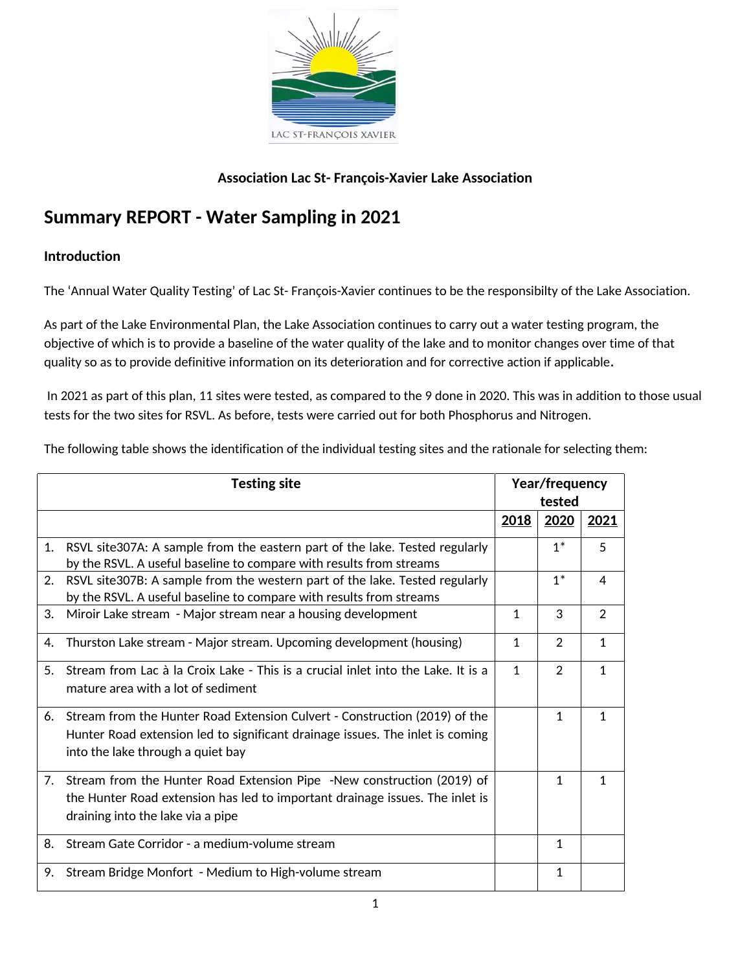

### **Association Lac St- François-Xavier Lake Association**

# **Summary REPORT - Water Sampling in 2021**

#### **Introduction**

The 'Annual Water Quality Testing' of Lac St- François-Xavier continues to be the responsibilty of the Lake Association.

As part of the Lake Environmental Plan, the Lake Association continues to carry out a water testing program, the objective of which is to provide a baseline of the water quality of the lake and to monitor changes over time of that quality so as to provide definitive information on its deterioration and for corrective action if applicable**.**

In 2021 as part of this plan, 11 sites were tested, as compared to the 9 done in 2020. This was in addition to those usual tests for the two sites for RSVL. As before, tests were carried out for both Phosphorus and Nitrogen.

The following table shows the identification of the individual testing sites and the rationale for selecting them:

|    | <b>Testing site</b>                                                                                                                                                                              |              |                | Year/frequency<br>tested |  |  |
|----|--------------------------------------------------------------------------------------------------------------------------------------------------------------------------------------------------|--------------|----------------|--------------------------|--|--|
|    |                                                                                                                                                                                                  | 2018         | 2020           | 2021                     |  |  |
| 1. | RSVL site307A: A sample from the eastern part of the lake. Tested regularly<br>by the RSVL. A useful baseline to compare with results from streams                                               |              | $1^*$          | 5                        |  |  |
| 2. | RSVL site307B: A sample from the western part of the lake. Tested regularly<br>by the RSVL. A useful baseline to compare with results from streams                                               |              | $1^*$          | 4                        |  |  |
| 3. | Miroir Lake stream - Major stream near a housing development                                                                                                                                     | 1            | 3              | 2                        |  |  |
| 4. | Thurston Lake stream - Major stream. Upcoming development (housing)                                                                                                                              | 1            | $\overline{2}$ | $\mathbf 1$              |  |  |
| 5. | Stream from Lac à la Croix Lake - This is a crucial inlet into the Lake. It is a<br>mature area with a lot of sediment                                                                           | $\mathbf{1}$ | $\overline{2}$ | $\mathbf 1$              |  |  |
| 6. | Stream from the Hunter Road Extension Culvert - Construction (2019) of the<br>Hunter Road extension led to significant drainage issues. The inlet is coming<br>into the lake through a quiet bay |              | 1              | $\mathbf{1}$             |  |  |
|    | 7. Stream from the Hunter Road Extension Pipe -New construction (2019) of<br>the Hunter Road extension has led to important drainage issues. The inlet is<br>draining into the lake via a pipe   |              | 1              | $\mathbf{1}$             |  |  |
| 8. | Stream Gate Corridor - a medium-volume stream                                                                                                                                                    |              | $\mathbf{1}$   |                          |  |  |
| 9. | Stream Bridge Monfort - Medium to High-volume stream                                                                                                                                             |              | $\mathbf{1}$   |                          |  |  |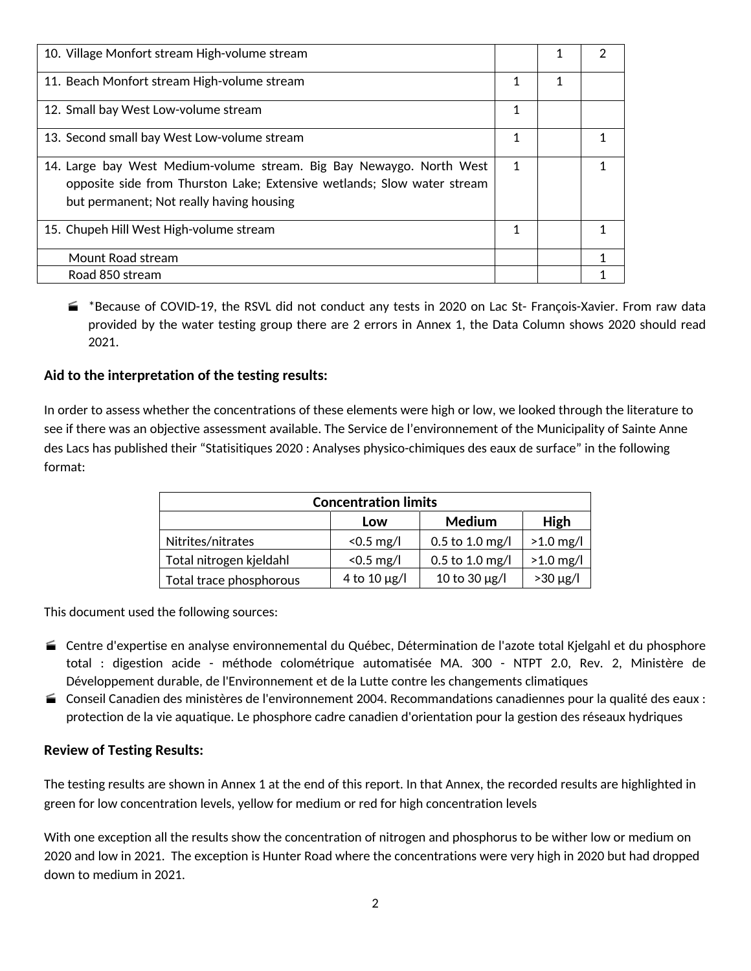| 10. Village Monfort stream High-volume stream                                                                                                                                               |   |   |  |
|---------------------------------------------------------------------------------------------------------------------------------------------------------------------------------------------|---|---|--|
| 11. Beach Monfort stream High-volume stream                                                                                                                                                 | 1 | 1 |  |
| 12. Small bay West Low-volume stream                                                                                                                                                        | 1 |   |  |
| 13. Second small bay West Low-volume stream                                                                                                                                                 | 1 |   |  |
| 14. Large bay West Medium-volume stream. Big Bay Newaygo. North West<br>opposite side from Thurston Lake; Extensive wetlands; Slow water stream<br>but permanent; Not really having housing | 1 |   |  |
| 15. Chupeh Hill West High-volume stream                                                                                                                                                     | 1 |   |  |
| Mount Road stream                                                                                                                                                                           |   |   |  |
| Road 850 stream                                                                                                                                                                             |   |   |  |

 \*Because of COVID-19, the RSVL did not conduct any tests in 2020 on Lac St- François-Xavier. From raw data provided by the water testing group there are 2 errors in Annex 1, the Data Column shows 2020 should read 2021.

#### **Aid to the interpretation of the testing results:**

In order to assess whether the concentrations of these elements were high or low, we looked through the literature to see if there was an objective assessment available. The Service de l'environnement of the Municipality of Sainte Anne des Lacs has published their "Statisitiques 2020 : Analyses physico-chimiques des eaux de surface" in the following format:

| <b>Concentration limits</b> |                   |                    |               |  |
|-----------------------------|-------------------|--------------------|---------------|--|
|                             | Low               | Medium<br>High     |               |  |
| Nitrites/nitrates           | $< 0.5$ mg/l      | $0.5$ to 1.0 mg/l  | $>1.0$ mg/l   |  |
| Total nitrogen kjeldahl     | $< 0.5$ mg/l      | 0.5 to 1.0 mg/l    | $>1.0$ mg/l   |  |
| Total trace phosphorous     | 4 to 10 $\mu$ g/l | 10 to 30 $\mu$ g/l | $>30 \mu g/l$ |  |

This document used the following sources:

- Centre d'expertise en analyse environnemental du Québec, Détermination de l'azote total Kjelgahl et du phosphore total : digestion acide - méthode colométrique automatisée MA. 300 - NTPT 2.0, Rev. 2, Ministère de Développement durable, de l'Environnement et de la Lutte contre les changements climatiques
- Conseil Canadien des ministères de l'environnement 2004. Recommandations canadiennes pour la qualité des eaux : protection de la vie aquatique. Le phosphore cadre canadien d'orientation pour la gestion des réseaux hydriques

#### **Review of Testing Results:**

The testing results are shown in Annex 1 at the end of this report. In that Annex, the recorded results are highlighted in green for low concentration levels, yellow for medium or red for high concentration levels

With one exception all the results show the concentration of nitrogen and phosphorus to be wither low or medium on 2020 and low in 2021. The exception is Hunter Road where the concentrations were very high in 2020 but had dropped down to medium in 2021.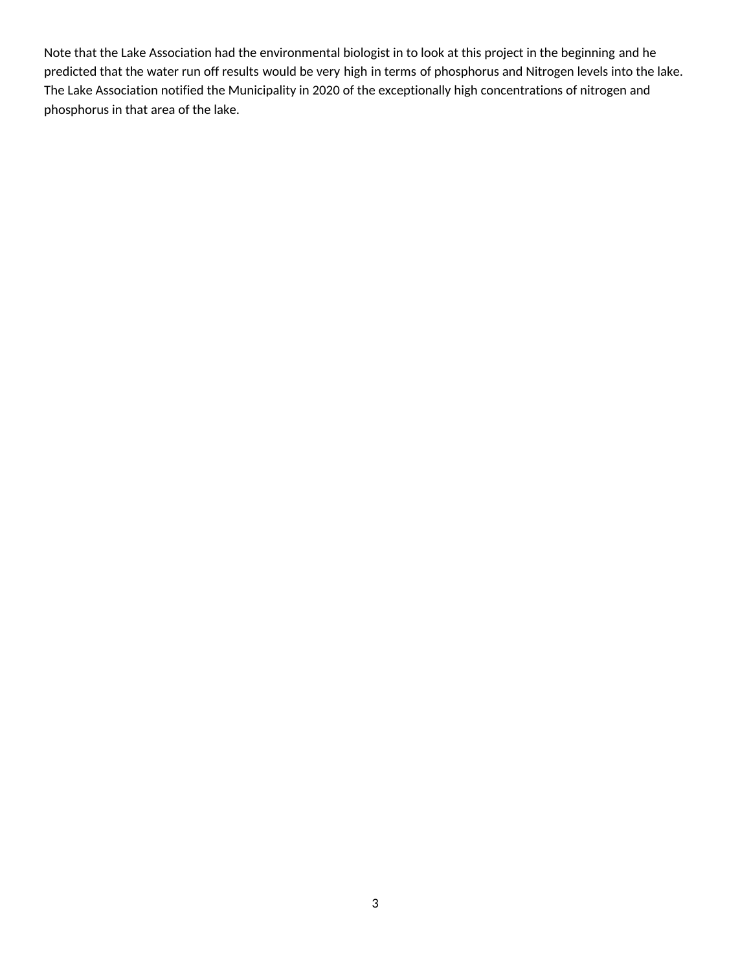Note that the Lake Association had the environmental biologist in to look at this project in the beginning and he predicted that the water run off results would be very high in terms of phosphorus and Nitrogen levels into the lake. The Lake Association notified the Municipality in 2020 of the exceptionally high concentrations of nitrogen and phosphorus in that area of the lake.